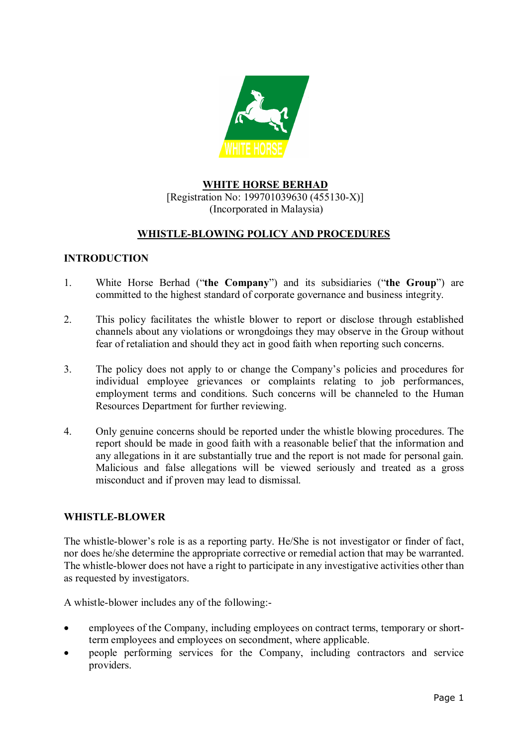

# **WHITE HORSE BERHAD** [Registration No: 199701039630 (455130-X)] (Incorporated in Malaysia)

# **WHISTLE-BLOWING POLICY AND PROCEDURES**

## **INTRODUCTION**

- 1. White Horse Berhad ("**the Company**") and its subsidiaries ("**the Group**") are committed to the highest standard of corporate governance and business integrity.
- 2. This policy facilitates the whistle blower to report or disclose through established channels about any violations or wrongdoings they may observe in the Group without fear of retaliation and should they act in good faith when reporting such concerns.
- 3. The policy does not apply to or change the Company's policies and procedures for individual employee grievances or complaints relating to job performances, employment terms and conditions. Such concerns will be channeled to the Human Resources Department for further reviewing.
- 4. Only genuine concerns should be reported under the whistle blowing procedures. The report should be made in good faith with a reasonable belief that the information and any allegations in it are substantially true and the report is not made for personal gain. Malicious and false allegations will be viewed seriously and treated as a gross misconduct and if proven may lead to dismissal.

#### **WHISTLE-BLOWER**

The whistle-blower's role is as a reporting party. He/She is not investigator or finder of fact, nor does he/she determine the appropriate corrective or remedial action that may be warranted. The whistle-blower does not have a right to participate in any investigative activities other than as requested by investigators.

A whistle-blower includes any of the following:-

- employees of the Company, including employees on contract terms, temporary or shortterm employees and employees on secondment, where applicable.
- people performing services for the Company, including contractors and service providers.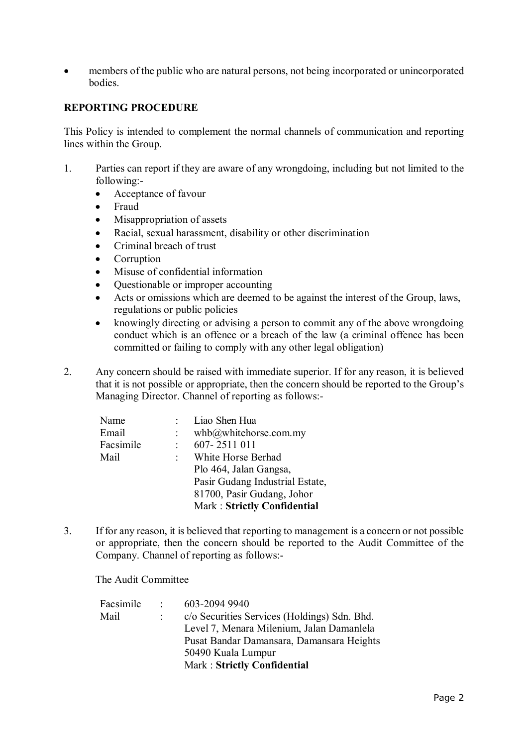members of the public who are natural persons, not being incorporated or unincorporated bodies.

#### **REPORTING PROCEDURE**

This Policy is intended to complement the normal channels of communication and reporting lines within the Group.

- 1. Parties can report if they are aware of any wrongdoing, including but not limited to the following:-
	- Acceptance of favour
	- Fraud
	- Misappropriation of assets
	- Racial, sexual harassment, disability or other discrimination
	- Criminal breach of trust
	- **Corruption**
	- Misuse of confidential information
	- Questionable or improper accounting
	- Acts or omissions which are deemed to be against the interest of the Group, laws, regulations or public policies
	- knowingly directing or advising a person to commit any of the above wrongdoing conduct which is an offence or a breach of the law (a criminal offence has been committed or failing to comply with any other legal obligation)
- 2. Any concern should be raised with immediate superior. If for any reason, it is believed that it is not possible or appropriate, then the concern should be reported to the Group's Managing Director. Channel of reporting as follows:-

| Name      |                  | Liao Shen Hua                   |
|-----------|------------------|---------------------------------|
| Email     |                  | whb@whitehorse.com(my           |
| Facsimile |                  | 607-2511 011                    |
| Mail      | $\mathbb{R}^{n}$ | White Horse Berhad              |
|           |                  | Plo 464, Jalan Gangsa,          |
|           |                  | Pasir Gudang Industrial Estate, |
|           |                  | 81700, Pasir Gudang, Johor      |
|           |                  | Mark: Strictly Confidential     |
|           |                  |                                 |

3. If for any reason, it is believed that reporting to management is a concern or not possible or appropriate, then the concern should be reported to the Audit Committee of the Company. Channel of reporting as follows:-

The Audit Committee

| Facsimile | $\sim$ | 603-2094 9940                                |
|-----------|--------|----------------------------------------------|
| Mail      |        | c/o Securities Services (Holdings) Sdn. Bhd. |
|           |        | Level 7, Menara Milenium, Jalan Damanlela    |
|           |        | Pusat Bandar Damansara, Damansara Heights    |
|           |        | 50490 Kuala Lumpur                           |
|           |        | Mark : Strictly Confidential                 |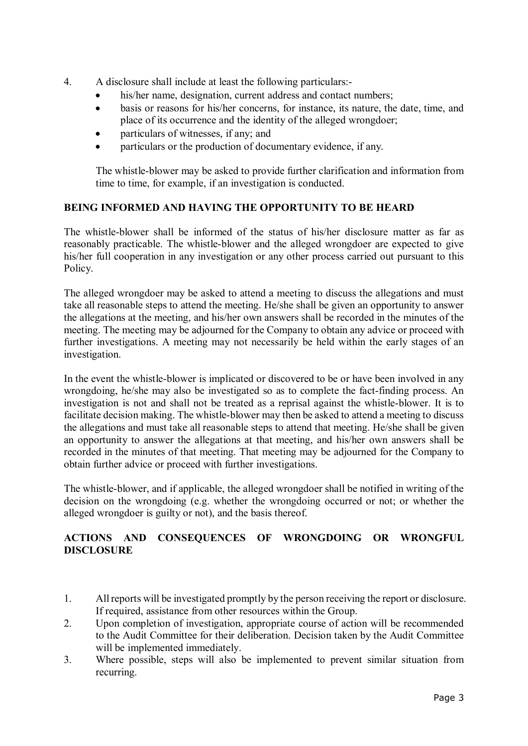- 4. A disclosure shall include at least the following particulars:-
	- his/her name, designation, current address and contact numbers;
	- basis or reasons for his/her concerns, for instance, its nature, the date, time, and place of its occurrence and the identity of the alleged wrongdoer;
	- particulars of witnesses, if any; and
	- particulars or the production of documentary evidence, if any.

The whistle-blower may be asked to provide further clarification and information from time to time, for example, if an investigation is conducted.

## **BEING INFORMED AND HAVING THE OPPORTUNITY TO BE HEARD**

The whistle-blower shall be informed of the status of his/her disclosure matter as far as reasonably practicable. The whistle-blower and the alleged wrongdoer are expected to give his/her full cooperation in any investigation or any other process carried out pursuant to this Policy.

The alleged wrongdoer may be asked to attend a meeting to discuss the allegations and must take all reasonable steps to attend the meeting. He/she shall be given an opportunity to answer the allegations at the meeting, and his/her own answers shall be recorded in the minutes of the meeting. The meeting may be adjourned for the Company to obtain any advice or proceed with further investigations. A meeting may not necessarily be held within the early stages of an investigation.

In the event the whistle-blower is implicated or discovered to be or have been involved in any wrongdoing, he/she may also be investigated so as to complete the fact-finding process. An investigation is not and shall not be treated as a reprisal against the whistle-blower. It is to facilitate decision making. The whistle-blower may then be asked to attend a meeting to discuss the allegations and must take all reasonable steps to attend that meeting. He/she shall be given an opportunity to answer the allegations at that meeting, and his/her own answers shall be recorded in the minutes of that meeting. That meeting may be adjourned for the Company to obtain further advice or proceed with further investigations.

The whistle-blower, and if applicable, the alleged wrongdoer shall be notified in writing of the decision on the wrongdoing (e.g. whether the wrongdoing occurred or not; or whether the alleged wrongdoer is guilty or not), and the basis thereof.

# **ACTIONS AND CONSEQUENCES OF WRONGDOING OR WRONGFUL DISCLOSURE**

- 1. All reports will be investigated promptly by the person receiving the report or disclosure. If required, assistance from other resources within the Group.
- 2. Upon completion of investigation, appropriate course of action will be recommended to the Audit Committee for their deliberation. Decision taken by the Audit Committee will be implemented immediately.
- 3. Where possible, steps will also be implemented to prevent similar situation from recurring.